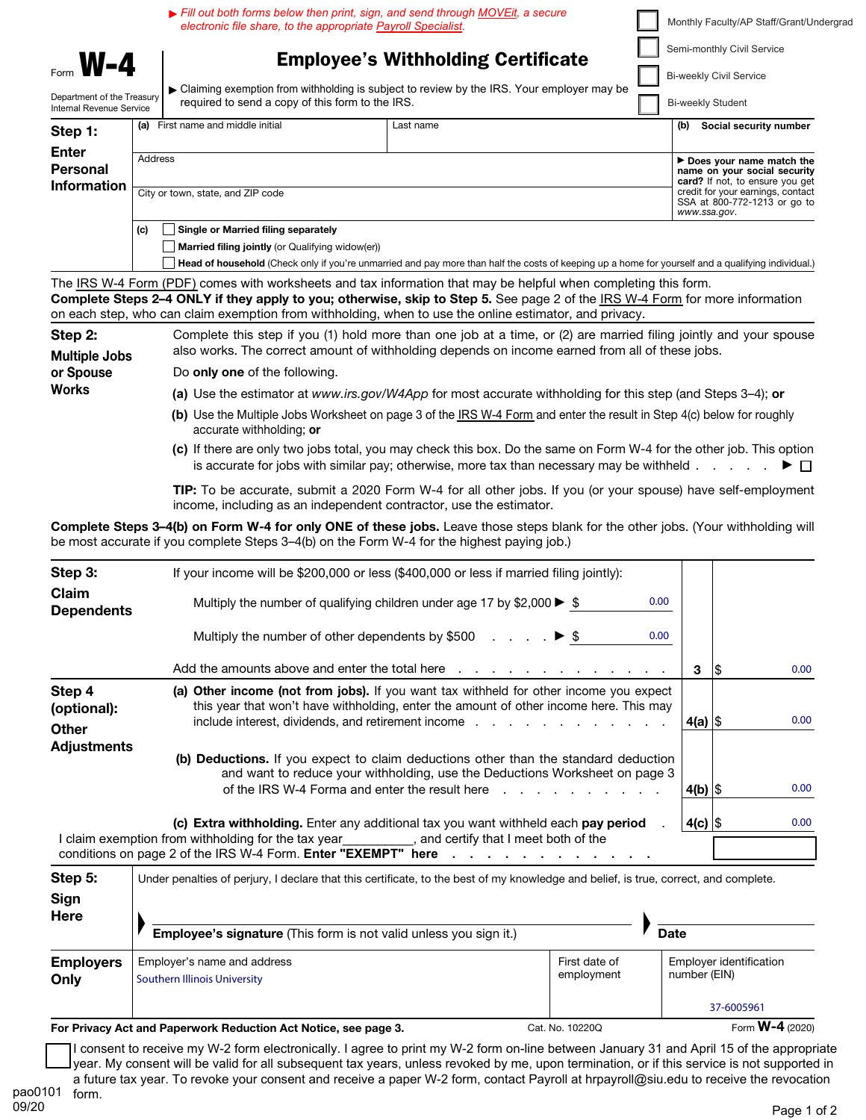**M-4** | Employee's Withholding Certificate ▶ Claiming exemption from withholding is subject to review by the IRS. Your employer may be Department of the Treasury<br>Internal Bevenue Service<br>Internal Bevenue Service Internal Revenue Service Step 1: Enter Personal Information (a) First name and middle initial Last name Address City or town, state, and ZIP code (b) **Social security number** ▶ Does your name match the name on your social security<br>card? If not, to ensure you get credit for your earnings, contact SSA at 800-772-1213 or go to *www.ssa.gov*.  $(c)$  Single or Married filing separately  $\Box$  Married filing jointly (or Qualifying widow(er)) Head of household (Check only if you're unmarried and pay more than half the costs of keeping up a home for yourself and a qualifying individual.) Monthly Faculty/AP Staff/Grant/Undergrad Semi-monthly Civil Service Bi-weekly Civil Service Bi-weekly Student ▶ *Fill out both forms below then print, sign, and send through MOVEit, a secure electronic file share, to the appropriate Payroll Specialist.* 

The IRS W-4 Form (PDF) comes with worksheets and tax information that may be helpful when completing this form. Complete Steps 2–4 ONLY if they apply to you; otherwise, skip to Step 5. See page 2 of the IRS W-4 Form for more information on each step, who can claim exemption from withholding, when to use the online estimator, and privacy.

| Step 2:                           | Complete this step if you (1) hold more than one job at a time, or (2) are married filing jointly and your spouse<br>also works. The correct amount of withholding depends on income earned from all of these jobs. |  |  |
|-----------------------------------|---------------------------------------------------------------------------------------------------------------------------------------------------------------------------------------------------------------------|--|--|
| <b>Multiple Jobs</b><br>or Spouse | Do <b>only one</b> of the following.                                                                                                                                                                                |  |  |
| <b>Works</b>                      | (a) Use the estimator at www.irs.gov/W4App for most accurate withholding for this step (and Steps 3–4); or                                                                                                          |  |  |
|                                   | (b) Use the Multiple Jobs Worksheet on page 3 of the IRS W-4 Form and enter the result in Step 4(c) below for roughly<br>accurate withholding; or                                                                   |  |  |

**(c)** If there are only two jobs total, you may check this box. Do the same on Form W-4 for the other job. This option is accurate for jobs with similar pay; otherwise, more tax than necessary may be withheld  $\ldots$  .  $\blacktriangleright \Box$ 

TIP: To be accurate, submit a 2020 Form W-4 for all other jobs. If you (or your spouse) have self-employment income, including as an independent contractor, use the estimator.

Complete Steps 3–4(b) on Form W-4 for only ONE of these jobs. Leave those steps blank for the other jobs. (Your withholding will be most accurate if you complete Steps 3–4(b) on the Form W-4 for the highest paying job.)

| Step 3:                               |                                                                                                                                                                                                                                                                                                    |            |     |                   |
|---------------------------------------|----------------------------------------------------------------------------------------------------------------------------------------------------------------------------------------------------------------------------------------------------------------------------------------------------|------------|-----|-------------------|
| Claim<br><b>Dependents</b>            | 0.00<br>Multiply the number of qualifying children under age 17 by \$2,000 $\blacktriangleright$ \$                                                                                                                                                                                                |            |     |                   |
|                                       | 0.00 <sub>1</sub><br>Multiply the number of other dependents by \$500 $\ldots$ $\ldots$ $\blacktriangleright$ \$                                                                                                                                                                                   |            |     |                   |
|                                       | Add the amounts above and enter the total here response to response the amounts above and enter the total here                                                                                                                                                                                     | 3          | 1\$ | 0.00              |
| Step 4<br>(optional):<br><b>Other</b> | (a) Other income (not from jobs). If you want tax withheld for other income you expect<br>this year that won't have withholding, enter the amount of other income here. This may<br>include interest, dividends, and retirement income example and example in the set of the set of the set of the | $4(a)$ \$  |     | 0.00              |
| <b>Adjustments</b>                    | (b) Deductions. If you expect to claim deductions other than the standard deduction<br>and want to reduce your withholding, use the Deductions Worksheet on page 3<br>of the IRS W-4 Forma and enter the result here result of the IRS W-4 Forma and enter the result here result in               | 4(b) $ \$$ |     | 0.00 <sub>1</sub> |
|                                       | (c) Extra withholding. Enter any additional tax you want withheld each pay period<br>I claim exemption from withholding for the tax year __________, and certify that I meet both of the<br>conditions on page 2 of the IRS W-4 Form. Enter "EXEMPT" here                                          | $4(c)$ \$  |     | 0.00              |

| Step 5:                  | Under penalties of perjury, I declare that this certificate, to the best of my knowledge and belief, is true, correct, and complete. |                             |                                                       |  |
|--------------------------|--------------------------------------------------------------------------------------------------------------------------------------|-----------------------------|-------------------------------------------------------|--|
| Sign<br>Here             | Employee's signature (This form is not valid unless you sign it.)                                                                    |                             | <b>Date</b>                                           |  |
| <b>Employers</b><br>Only | Employer's name and address<br><b>Southern Illinois University</b>                                                                   | First date of<br>employment | Employer identification<br>number (EIN)<br>37-6005961 |  |

For Privacy Act and Paperwork Reduction Act Notice, see page 3. Cat. No. 10220Q Form W-4 (2020)

I consent to receive my W-2 form electronically. I agree to print my W-2 form on-line between January 31 and April 15 of the appropriate year. My consent will be valid for all subsequent tax years, unless revoked by me, upon termination, or if this service is not supported in a future tax year. To revoke your consent and receive a paper W-2 form, contact Payroll at hrpayroll@siu.edu to receive the revocation